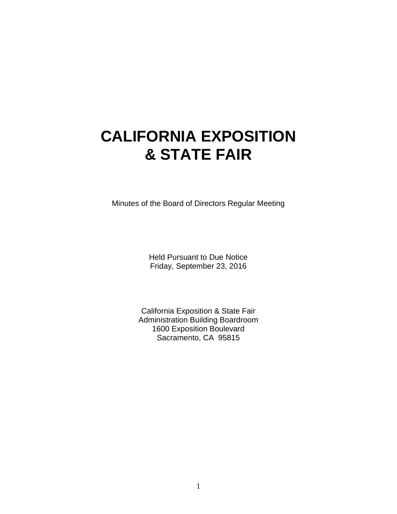# **CALIFORNIA EXPOSITION & STATE FAIR**

Minutes of the Board of Directors Regular Meeting

Held Pursuant to Due Notice Friday, September 23, 2016

California Exposition & State Fair Administration Building Boardroom 1600 Exposition Boulevard Sacramento, CA 95815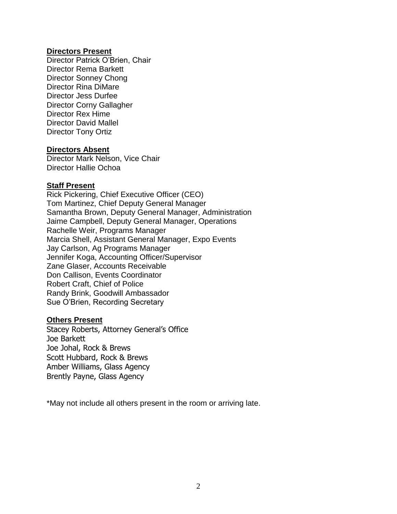#### **Directors Present**

Director Patrick O'Brien, Chair Director Rema Barkett Director Sonney Chong Director Rina DiMare Director Jess Durfee Director Corny Gallagher Director Rex Hime Director David Mallel Director Tony Ortiz

#### **Directors Absent**

Director Mark Nelson, Vice Chair Director Hallie Ochoa

#### **Staff Present**

Rick Pickering, Chief Executive Officer (CEO) Tom Martinez, Chief Deputy General Manager Samantha Brown, Deputy General Manager, Administration Jaime Campbell, Deputy General Manager, Operations Rachelle Weir, Programs Manager Marcia Shell, Assistant General Manager, Expo Events Jay Carlson, Ag Programs Manager Jennifer Koga, Accounting Officer/Supervisor Zane Glaser, Accounts Receivable Don Callison, Events Coordinator Robert Craft, Chief of Police Randy Brink, Goodwill Ambassador Sue O'Brien, Recording Secretary

#### **Others Present**

Stacey Roberts, Attorney General's Office Joe Barkett Joe Johal, Rock & Brews Scott Hubbard, Rock & Brews Amber Williams, Glass Agency Brently Payne, Glass Agency

\*May not include all others present in the room or arriving late.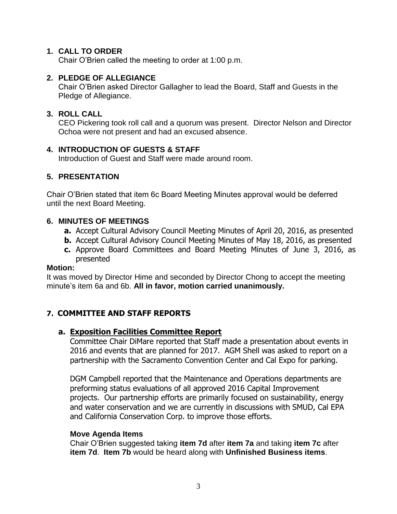#### **1. CALL TO ORDER**

Chair O'Brien called the meeting to order at 1:00 p.m.

#### **2. PLEDGE OF ALLEGIANCE**

Chair O'Brien asked Director Gallagher to lead the Board, Staff and Guests in the Pledge of Allegiance.

#### **3. ROLL CALL**

CEO Pickering took roll call and a quorum was present. Director Nelson and Director Ochoa were not present and had an excused absence.

#### **4. INTRODUCTION OF GUESTS & STAFF**

Introduction of Guest and Staff were made around room.

# **5. PRESENTATION**

Chair O'Brien stated that item 6c Board Meeting Minutes approval would be deferred until the next Board Meeting.

#### **6. MINUTES OF MEETINGS**

- **a.** Accept Cultural Advisory Council Meeting Minutes of April 20, 2016, as presented
- **b.** Accept Cultural Advisory Council Meeting Minutes of May 18, 2016, as presented
- **c.** Approve Board Committees and Board Meeting Minutes of June 3, 2016, as presented

#### **Motion:**

It was moved by Director Hime and seconded by Director Chong to accept the meeting minute's item 6a and 6b. **All in favor, motion carried unanimously.**

# **7. COMMITTEE AND STAFF REPORTS**

# **a. Exposition Facilities Committee Report**

Committee Chair DiMare reported that Staff made a presentation about events in 2016 and events that are planned for 2017. AGM Shell was asked to report on a partnership with the Sacramento Convention Center and Cal Expo for parking.

DGM Campbell reported that the Maintenance and Operations departments are preforming status evaluations of all approved 2016 Capital Improvement projects. Our partnership efforts are primarily focused on sustainability, energy and water conservation and we are currently in discussions with SMUD, Cal EPA and California Conservation Corp. to improve those efforts.

#### **Move Agenda Items**

Chair O'Brien suggested taking **item 7d** after **item 7a** and taking **item 7c** after **item 7d**. **Item 7b** would be heard along with **Unfinished Business items**.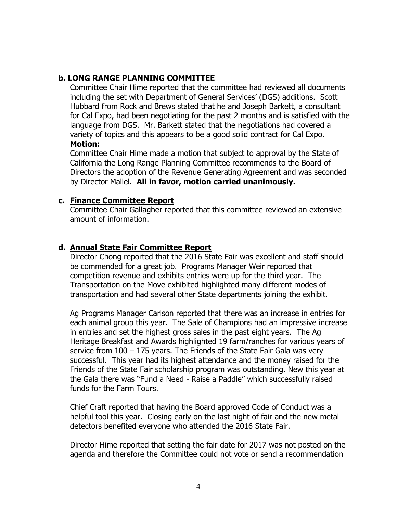# **b. LONG RANGE PLANNING COMMITTEE**

Committee Chair Hime reported that the committee had reviewed all documents including the set with Department of General Services' (DGS) additions. Scott Hubbard from Rock and Brews stated that he and Joseph Barkett, a consultant for Cal Expo, had been negotiating for the past 2 months and is satisfied with the language from DGS. Mr. Barkett stated that the negotiations had covered a variety of topics and this appears to be a good solid contract for Cal Expo. **Motion:**

#### Committee Chair Hime made a motion that subject to approval by the State of California the Long Range Planning Committee recommends to the Board of Directors the adoption of the Revenue Generating Agreement and was seconded by Director Mallel. **All in favor, motion carried unanimously.**

# **c. Finance Committee Report**

Committee Chair Gallagher reported that this committee reviewed an extensive amount of information.

# **d. Annual State Fair Committee Report**

Director Chong reported that the 2016 State Fair was excellent and staff should be commended for a great job. Programs Manager Weir reported that competition revenue and exhibits entries were up for the third year. The Transportation on the Move exhibited highlighted many different modes of transportation and had several other State departments joining the exhibit.

Ag Programs Manager Carlson reported that there was an increase in entries for each animal group this year. The Sale of Champions had an impressive increase in entries and set the highest gross sales in the past eight years. The Ag Heritage Breakfast and Awards highlighted 19 farm/ranches for various years of service from 100 – 175 years. The Friends of the State Fair Gala was very successful. This year had its highest attendance and the money raised for the Friends of the State Fair scholarship program was outstanding. New this year at the Gala there was "Fund a Need - Raise a Paddle" which successfully raised funds for the Farm Tours.

Chief Craft reported that having the Board approved Code of Conduct was a helpful tool this year. Closing early on the last night of fair and the new metal detectors benefited everyone who attended the 2016 State Fair.

Director Hime reported that setting the fair date for 2017 was not posted on the agenda and therefore the Committee could not vote or send a recommendation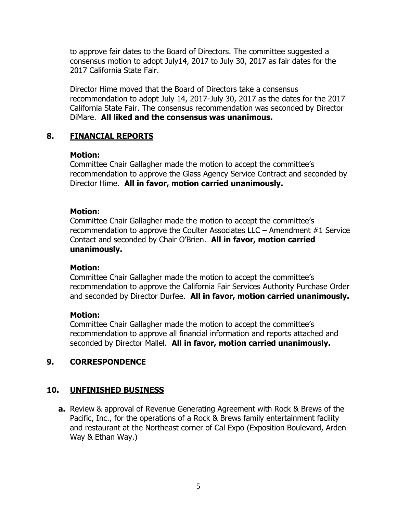to approve fair dates to the Board of Directors. The committee suggested a consensus motion to adopt July14, 2017 to July 30, 2017 as fair dates for the 2017 California State Fair.

Director Hime moved that the Board of Directors take a consensus recommendation to adopt July 14, 2017-July 30, 2017 as the dates for the 2017 California State Fair. The consensus recommendation was seconded by Director DiMare. **All liked and the consensus was unanimous.**

# **8. FINANCIAL REPORTS**

#### **Motion:**

Committee Chair Gallagher made the motion to accept the committee's recommendation to approve the Glass Agency Service Contract and seconded by Director Hime. **All in favor, motion carried unanimously.**

# **Motion:**

Committee Chair Gallagher made the motion to accept the committee's recommendation to approve the Coulter Associates LLC – Amendment #1 Service Contact and seconded by Chair O'Brien. **All in favor, motion carried unanimously.**

#### **Motion:**

Committee Chair Gallagher made the motion to accept the committee's recommendation to approve the California Fair Services Authority Purchase Order and seconded by Director Durfee. **All in favor, motion carried unanimously.**

#### **Motion:**

Committee Chair Gallagher made the motion to accept the committee's recommendation to approve all financial information and reports attached and seconded by Director Mallel. **All in favor, motion carried unanimously.**

# **9. CORRESPONDENCE**

# **10. UNFINISHED BUSINESS**

**a.** Review & approval of Revenue Generating Agreement with Rock & Brews of the Pacific, Inc., for the operations of a Rock & Brews family entertainment facility and restaurant at the Northeast corner of Cal Expo (Exposition Boulevard, Arden Way & Ethan Way.)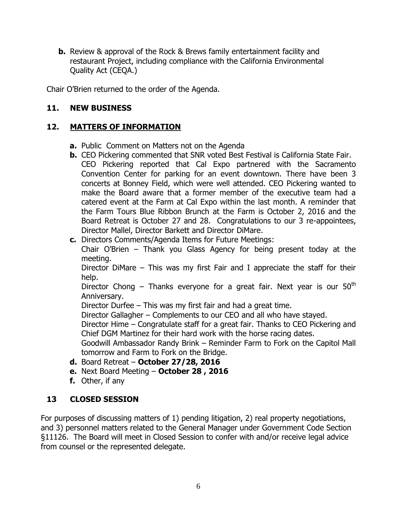**b.** Review & approval of the Rock & Brews family entertainment facility and restaurant Project, including compliance with the California Environmental Quality Act (CEQA.)

Chair O'Brien returned to the order of the Agenda.

# **11. NEW BUSINESS**

# **12. MATTERS OF INFORMATION**

- **a.** Public Comment on Matters not on the Agenda
- **b.** CEO Pickering commented that SNR voted Best Festival is California State Fair. CEO Pickering reported that Cal Expo partnered with the Sacramento Convention Center for parking for an event downtown. There have been 3 concerts at Bonney Field, which were well attended. CEO Pickering wanted to make the Board aware that a former member of the executive team had a catered event at the Farm at Cal Expo within the last month. A reminder that the Farm Tours Blue Ribbon Brunch at the Farm is October 2, 2016 and the Board Retreat is October 27 and 28. Congratulations to our 3 re-appointees, Director Mallel, Director Barkett and Director DiMare.
- **c.** Directors Comments/Agenda Items for Future Meetings:

Chair O'Brien – Thank you Glass Agency for being present today at the meeting.

Director DiMare – This was my first Fair and I appreciate the staff for their help.

Director Chong – Thanks everyone for a great fair. Next year is our  $50<sup>th</sup>$ Anniversary.

Director Durfee – This was my first fair and had a great time.

Director Gallagher – Complements to our CEO and all who have stayed.

Director Hime – Congratulate staff for a great fair. Thanks to CEO Pickering and Chief DGM Martinez for their hard work with the horse racing dates.

Goodwill Ambassador Randy Brink – Reminder Farm to Fork on the Capitol Mall tomorrow and Farm to Fork on the Bridge.

- **d.** Board Retreat **October 27/28, 2016**
- **e.** Next Board Meeting **October 28 , 2016**
- **f.** Other, if any

# **13 CLOSED SESSION**

For purposes of discussing matters of 1) pending litigation, 2) real property negotiations, and 3) personnel matters related to the General Manager under Government Code Section §11126. The Board will meet in Closed Session to confer with and/or receive legal advice from counsel or the represented delegate.